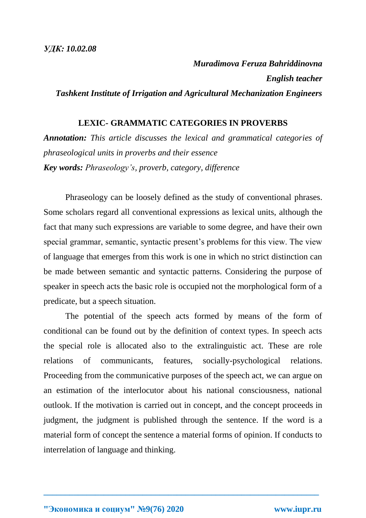*Muradimova Feruza Bahriddinovna English teacher Tashkent Institute of Irrigation and Agricultural Mechanization Engineers*

## **LEXIC- GRAMMATIC CATEGORIES IN PROVERBS**

*Annotation: This article discusses the lexical and grammatical categories of phraseological units in proverbs and their essence Key words: Phraseology's, proverb, category, difference*

Phraseology can be loosely defined as the study of conventional phrases. Some scholars regard all conventional expressions as lexical units, although the fact that many such expressions are variable to some degree, and have their own special grammar, semantic, syntactic present's problems for this view. The view of language that emerges from this work is one in which no strict distinction can be made between semantic and syntactic patterns. Considering the purpose of speaker in speech acts the basic role is occupied not the morphological form of a predicate, but a speech situation.

The potential of the speech acts formed by means of the form of conditional can be found out by the definition of context types. In speech acts the special role is allocated also to the extralinguistic act. These are role relations of communicants, features, socially-psychological relations. Proceeding from the communicative purposes of the speech act, we can argue on an estimation of the interlocutor about his national consciousness, national outlook. If the motivation is carried out in concept, and the concept proceeds in judgment, the judgment is published through the sentence. If the word is a material form of concept the sentence a material forms of opinion. If conducts to interrelation of language and thinking.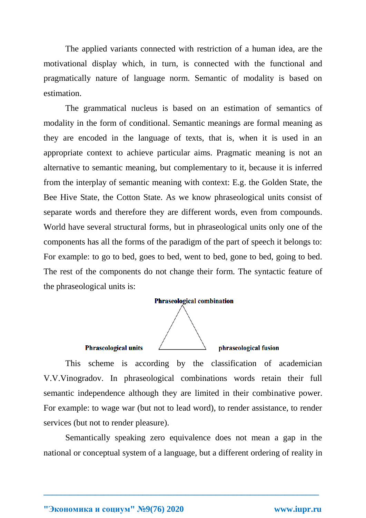The applied variants connected with restriction of a human idea, are the motivational display which, in turn, is connected with the functional and pragmatically nature of language norm. Semantic of modality is based on estimation.

The grammatical nucleus is based on an estimation of semantics of modality in the form of conditional. Semantic meanings are formal meaning as they are encoded in the language of texts, that is, when it is used in an appropriate context to achieve particular aims. Pragmatic meaning is not an alternative to semantic meaning, but complementary to it, because it is inferred from the interplay of semantic meaning with context: E.g. the Golden State, the Bee Hive State, the Cotton State. As we know phraseological units consist of separate words and therefore they are different words, even from compounds. World have several structural forms, but in phraseological units only one of the components has all the forms of the paradigm of the part of speech it belongs to: For example: to go to bed, goes to bed, went to bed, gone to bed, going to bed. The rest of the components do not change their form. The syntactic feature of the phraseological units is:



## **Phraseological units**

phraseological fusion

This scheme is according by the classification of academician V.V.Vinogradov. In phraseological combinations words retain their full semantic independence although they are limited in their combinative power. For example: to wage war (but not to lead word), to render assistance, to render services (but not to render pleasure).

Semantically speaking zero equivalence does not mean a gap in the national or conceptual system of a language, but a different ordering of reality in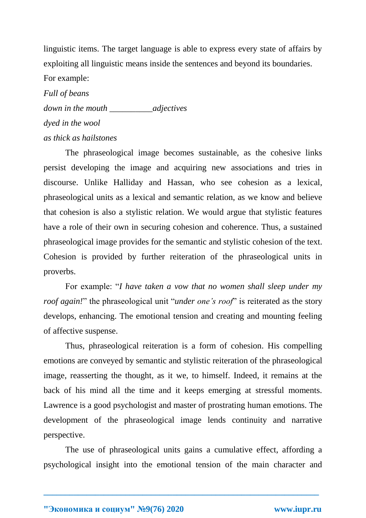linguistic items. The target language is able to express every state of affairs by exploiting all linguistic means inside the sentences and beyond its boundaries. For example:

*Full of beans down in the mouth \_\_\_\_\_\_\_\_\_\_adjectives dyed in the wool as thick as hailstones*

The phraseological image becomes sustainable, as the cohesive links persist developing the image and acquiring new associations and tries in discourse. Unlike Halliday and Hassan, who see cohesion as a lexical, phraseological units as a lexical and semantic relation, as we know and believe that cohesion is also a stylistic relation. We would argue that stylistic features have a role of their own in securing cohesion and coherence. Thus, a sustained phraseological image provides for the semantic and stylistic cohesion of the text. Cohesion is provided by further reiteration of the phraseological units in proverbs.

For example: "*I have taken a vow that no women shall sleep under my roof again!*" the phraseological unit "*under one's roof*" is reiterated as the story develops, enhancing. The emotional tension and creating and mounting feeling of affective suspense.

Thus, phraseological reiteration is a form of cohesion. His compelling emotions are conveyed by semantic and stylistic reiteration of the phraseological image, reasserting the thought, as it we, to himself. Indeed, it remains at the back of his mind all the time and it keeps emerging at stressful moments. Lawrence is a good psychologist and master of prostrating human emotions. The development of the phraseological image lends continuity and narrative perspective.

The use of phraseological units gains a cumulative effect, affording a psychological insight into the emotional tension of the main character and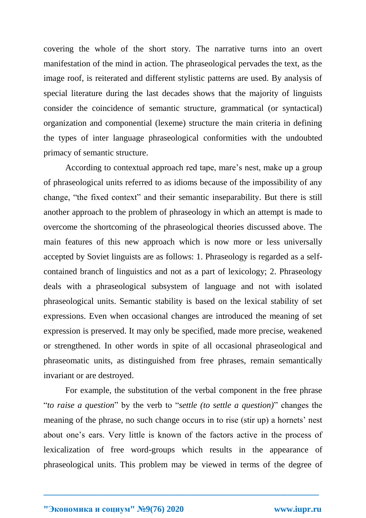covering the whole of the short story. The narrative turns into an overt manifestation of the mind in action. The phraseological pervades the text, as the image roof, is reiterated and different stylistic patterns are used. By analysis of special literature during the last decades shows that the majority of linguists consider the coincidence of semantic structure, grammatical (or syntactical) organization and componential (lexeme) structure the main criteria in defining the types of inter language phraseological conformities with the undoubted primacy of semantic structure.

According to contextual approach red tape, mare's nest, make up a group of phraseological units referred to as idioms because of the impossibility of any change, "the fixed context" and their semantic inseparability. But there is still another approach to the problem of phraseology in which an attempt is made to overcome the shortcoming of the phraseological theories discussed above. The main features of this new approach which is now more or less universally accepted by Soviet linguists are as follows: 1. Phraseology is regarded as a selfcontained branch of linguistics and not as a part of lexicology; 2. Phraseology deals with a phraseological subsystem of language and not with isolated phraseological units. Semantic stability is based on the lexical stability of set expressions. Even when occasional changes are introduced the meaning of set expression is preserved. It may only be specified, made more precise, weakened or strengthened. In other words in spite of all occasional phraseological and phraseomatic units, as distinguished from free phrases, remain semantically invariant or are destroyed.

For example, the substitution of the verbal component in the free phrase "*to raise a question*" by the verb to "*settle (to settle a question)*" changes the meaning of the phrase, no such change occurs in to rise (stir up) a hornets' nest about one's ears. Very little is known of the factors active in the process of lexicalization of free word-groups which results in the appearance of phraseological units. This problem may be viewed in terms of the degree of